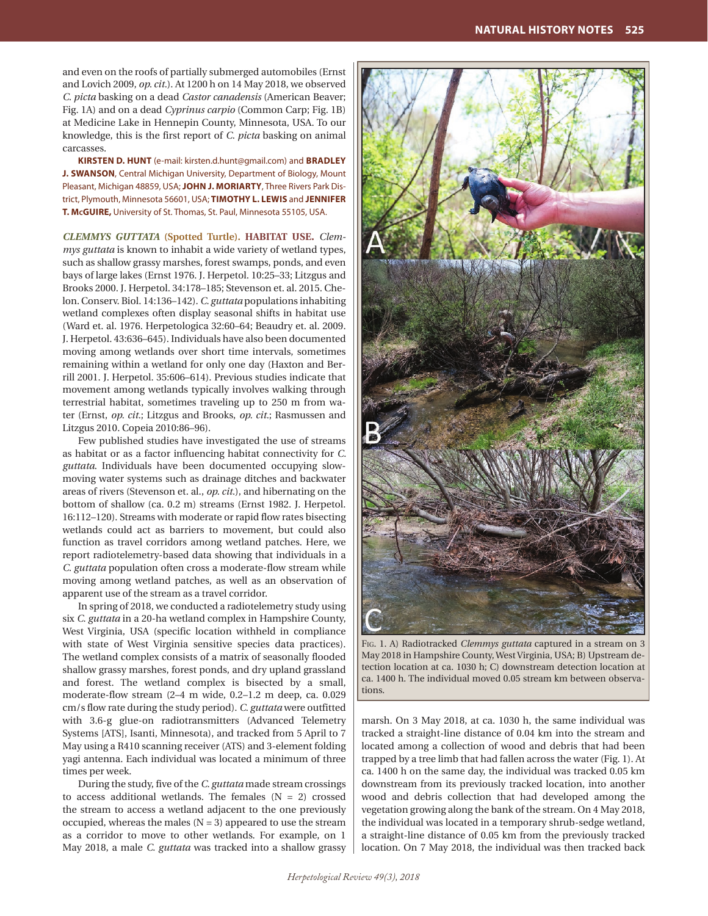and even on the roofs of partially submerged automobiles (Ernst and Lovich 2009, *op. cit.*). At 1200 h on 14 May 2018, we observed *C. picta* basking on a dead *Castor canadensis* (American Beaver; Fig. 1A) and on a dead *Cyprinus carpio* (Common Carp; Fig. 1B) at Medicine Lake in Hennepin County, Minnesota, USA. To our knowledge, this is the first report of *C. picta* basking on animal carcasses.

**KIRSTEN D. HUNT** (e-mail: kirsten.d.hunt@gmail.com) and **BRADLEY J. SWANSON**, Central Michigan University, Department of Biology, Mount Pleasant, Michigan 48859, USA; **JOHN J. MORIARTY**, Three Rivers Park District, Plymouth, Minnesota 56601, USA; **TIMOTHY L. LEWIS** and **JENNIFER T. McGUIRE,** University of St. Thomas, St. Paul, Minnesota 55105, USA.

*CLEMMYS GUTTATA* **(Spotted Turtle). HABITAT USE.** *Clem-*

*mys guttata* is known to inhabit a wide variety of wetland types, such as shallow grassy marshes, forest swamps, ponds, and even bays of large lakes (Ernst 1976. J. Herpetol. 10:25–33; Litzgus and Brooks 2000. J. Herpetol. 34:178–185; Stevenson et. al. 2015. Chelon. Conserv. Biol. 14:136–142). *C. guttata* populations inhabiting wetland complexes often display seasonal shifts in habitat use (Ward et. al. 1976. Herpetologica 32:60–64; Beaudry et. al. 2009. J. Herpetol. 43:636–645). Individuals have also been documented moving among wetlands over short time intervals, sometimes remaining within a wetland for only one day (Haxton and Berrill 2001. J. Herpetol. 35:606–614). Previous studies indicate that movement among wetlands typically involves walking through terrestrial habitat, sometimes traveling up to 250 m from water (Ernst, *op. cit.*; Litzgus and Brooks, *op. cit.*; Rasmussen and Litzgus 2010. Copeia 2010:86–96).

Few published studies have investigated the use of streams as habitat or as a factor influencing habitat connectivity for *C. guttata*. Individuals have been documented occupying slowmoving water systems such as drainage ditches and backwater areas of rivers (Stevenson et. al., *op. cit.*), and hibernating on the bottom of shallow (ca. 0.2 m) streams (Ernst 1982. J. Herpetol. 16:112–120). Streams with moderate or rapid flow rates bisecting wetlands could act as barriers to movement, but could also function as travel corridors among wetland patches. Here, we report radiotelemetry-based data showing that individuals in a *C. guttata* population often cross a moderate-flow stream while moving among wetland patches, as well as an observation of apparent use of the stream as a travel corridor.

In spring of 2018, we conducted a radiotelemetry study using six *C. guttata* in a 20-ha wetland complex in Hampshire County, West Virginia, USA (specific location withheld in compliance with state of West Virginia sensitive species data practices). The wetland complex consists of a matrix of seasonally flooded shallow grassy marshes, forest ponds, and dry upland grassland and forest. The wetland complex is bisected by a small, moderate-flow stream (2–4 m wide, 0.2–1.2 m deep, ca. 0.029 cm/s flow rate during the study period). *C. guttata* were outfitted with 3.6-g glue-on radiotransmitters (Advanced Telemetry Systems [ATS], Isanti, Minnesota), and tracked from 5 April to 7 May using a R410 scanning receiver (ATS) and 3-element folding yagi antenna. Each individual was located a minimum of three times per week.

During the study, five of the *C. guttata* made stream crossings to access additional wetlands. The females  $(N = 2)$  crossed the stream to access a wetland adjacent to the one previously occupied, whereas the males  $(N = 3)$  appeared to use the stream as a corridor to move to other wetlands. For example, on 1 May 2018, a male *C. guttata* was tracked into a shallow grassy



Fig. 1. A) Radiotracked *Clemmys guttata* captured in a stream on 3 May 2018 in Hampshire County, West Virginia, USA; B) Upstream detection location at ca. 1030 h; C) downstream detection location at ca. 1400 h. The individual moved 0.05 stream km between observations.

marsh. On 3 May 2018, at ca. 1030 h, the same individual was tracked a straight-line distance of 0.04 km into the stream and located among a collection of wood and debris that had been trapped by a tree limb that had fallen across the water (Fig. 1). At ca. 1400 h on the same day, the individual was tracked 0.05 km downstream from its previously tracked location, into another wood and debris collection that had developed among the vegetation growing along the bank of the stream. On 4 May 2018, the individual was located in a temporary shrub-sedge wetland, a straight-line distance of 0.05 km from the previously tracked location. On 7 May 2018, the individual was then tracked back